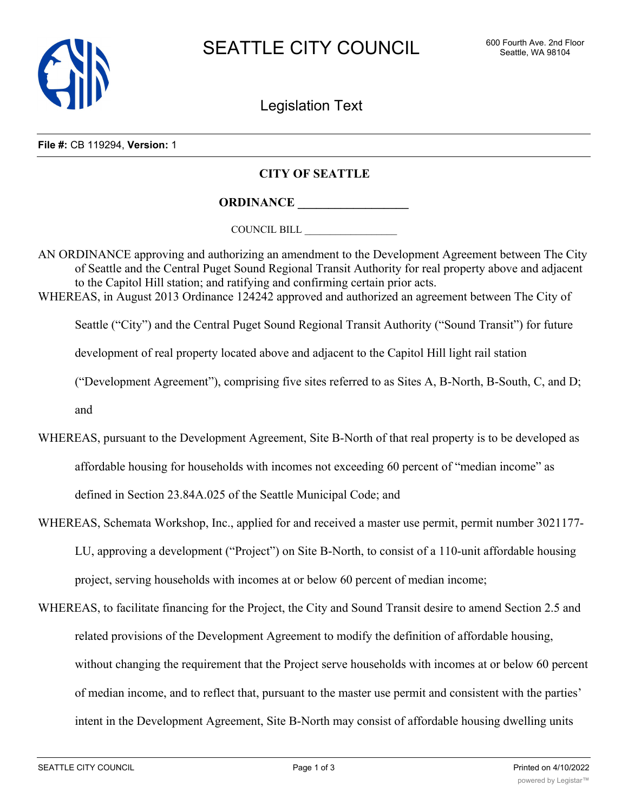

Legislation Text

**File #:** CB 119294, **Version:** 1

## **CITY OF SEATTLE**

**ORDINANCE \_\_\_\_\_\_\_\_\_\_\_\_\_\_\_\_\_\_**

COUNCIL BILL \_\_\_\_\_\_\_\_\_\_\_\_\_\_\_\_\_\_

AN ORDINANCE approving and authorizing an amendment to the Development Agreement between The City of Seattle and the Central Puget Sound Regional Transit Authority for real property above and adjacent to the Capitol Hill station; and ratifying and confirming certain prior acts. WHEREAS, in August 2013 Ordinance 124242 approved and authorized an agreement between The City of

Seattle ("City") and the Central Puget Sound Regional Transit Authority ("Sound Transit") for future

development of real property located above and adjacent to the Capitol Hill light rail station

("Development Agreement"), comprising five sites referred to as Sites A, B-North, B-South, C, and D;

and

- WHEREAS, pursuant to the Development Agreement, Site B-North of that real property is to be developed as affordable housing for households with incomes not exceeding 60 percent of "median income" as defined in Section 23.84A.025 of the Seattle Municipal Code; and
- WHEREAS, Schemata Workshop, Inc., applied for and received a master use permit, permit number 3021177- LU, approving a development ("Project") on Site B-North, to consist of a 110-unit affordable housing project, serving households with incomes at or below 60 percent of median income;
- WHEREAS, to facilitate financing for the Project, the City and Sound Transit desire to amend Section 2.5 and related provisions of the Development Agreement to modify the definition of affordable housing, without changing the requirement that the Project serve households with incomes at or below 60 percent of median income, and to reflect that, pursuant to the master use permit and consistent with the parties' intent in the Development Agreement, Site B-North may consist of affordable housing dwelling units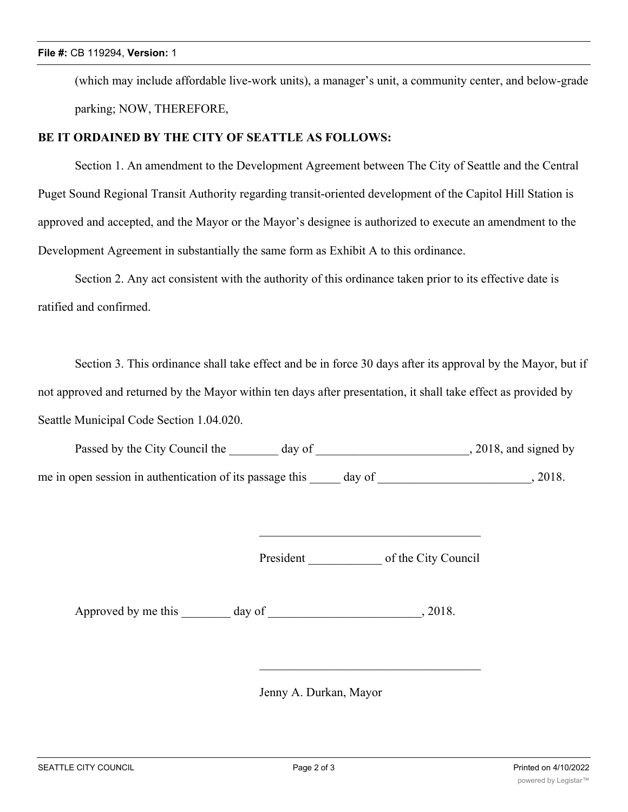(which may include affordable live-work units), a manager's unit, a community center, and below-grade parking; NOW, THEREFORE,

## **BE IT ORDAINED BY THE CITY OF SEATTLE AS FOLLOWS:**

Section 1. An amendment to the Development Agreement between The City of Seattle and the Central Puget Sound Regional Transit Authority regarding transit-oriented development of the Capitol Hill Station is approved and accepted, and the Mayor or the Mayor's designee is authorized to execute an amendment to the Development Agreement in substantially the same form as Exhibit A to this ordinance.

Section 2. Any act consistent with the authority of this ordinance taken prior to its effective date is ratified and confirmed.

Section 3. This ordinance shall take effect and be in force 30 days after its approval by the Mayor, but if not approved and returned by the Mayor within ten days after presentation, it shall take effect as provided by Seattle Municipal Code Section 1.04.020.

| Passed by the City Council the                           | day of | , 2018, and signed by |
|----------------------------------------------------------|--------|-----------------------|
| me in open session in authentication of its passage this | day of | 2018.                 |

President of the City Council

Approved by me this day of the same capacity of the same capacity of the same capacity of  $\alpha$ , 2018.

Jenny A. Durkan, Mayor